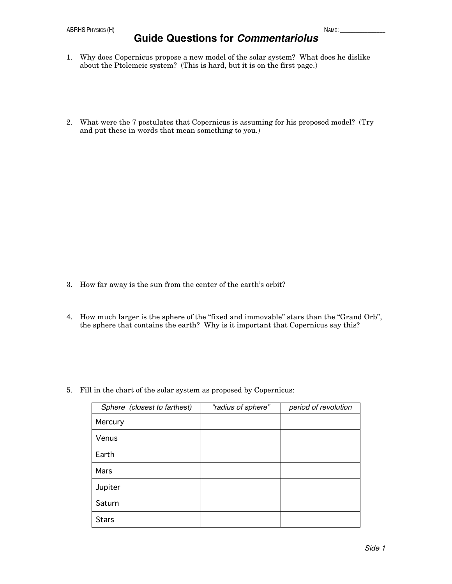- about the Ptolemeic system? (This is hard, but it is on the first page.)
- 2. What were the 7 postulates that Copernicus is assuming for his proposed model? (Try and put these in words that mean something to you.)

- 3. How far away is the sun from the center of the earth's orbit?
- 4. How much larger is the sphere of the "fixed and immovable" stars than the "Grand Orb", the sphere that contains the earth? Why is it important that Copernicus say this?
- 5. Fill in the chart of the solar system as proposed by Copernicus:

| Sphere (closest to farthest) | "radius of sphere" | period of revolution |
|------------------------------|--------------------|----------------------|
| Mercury                      |                    |                      |
| Venus                        |                    |                      |
| Earth                        |                    |                      |
| Mars                         |                    |                      |
| Jupiter                      |                    |                      |
| Saturn                       |                    |                      |
| <b>Stars</b>                 |                    |                      |